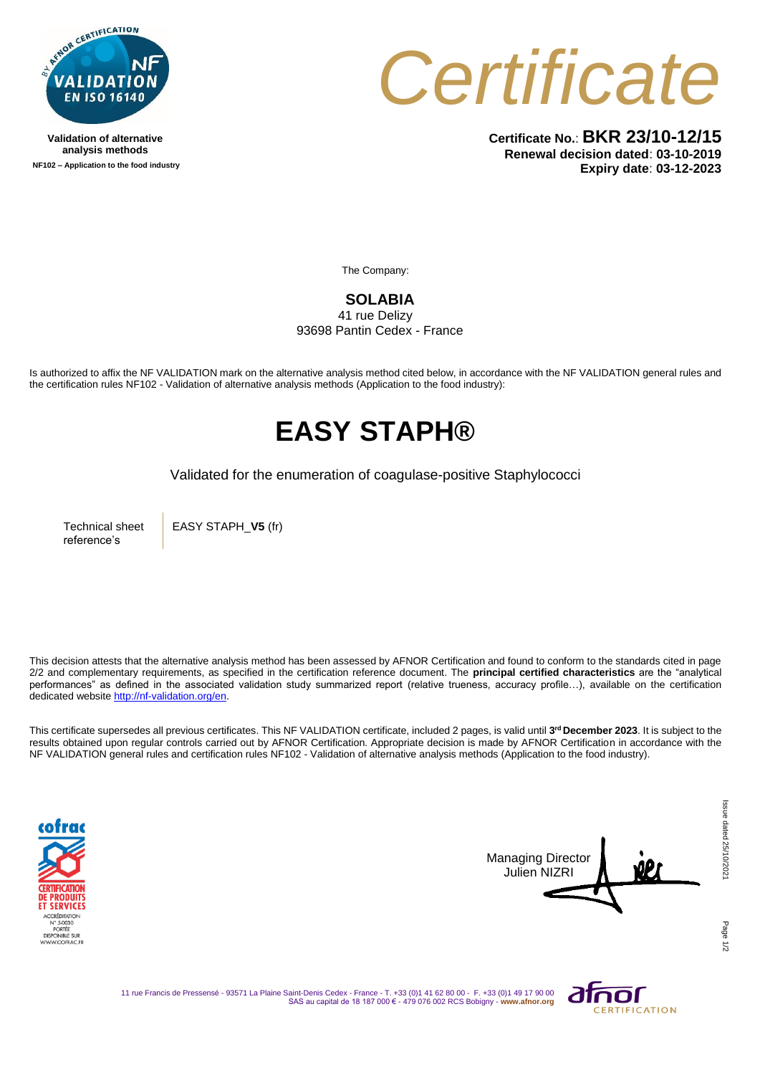

**Validation of alternative analysis methods NF102 – Application to the food industry** *Certificate*

**Certificate No.**: **BKR 23/10-12/15 Renewal decision dated**: **03-10-2019 Expiry date**: **03-12-2023**

The Company:

## **SOLABIA**  41 rue Delizy 93698 Pantin Cedex - France

Is authorized to affix the NF VALIDATION mark on the alternative analysis method cited below, in accordance with the NF VALIDATION general rules and the certification rules NF102 - Validation of alternative analysis methods (Application to the food industry):

## **EASY STAPH®**

Validated for the enumeration of coagulase-positive Staphylococci

Technical sheet reference's

EASY STAPH\_**V5** (fr)

This decision attests that the alternative analysis method has been assessed by AFNOR Certification and found to conform to the standards cited in page 2/2 and complementary requirements, as specified in the certification reference document. The **principal certified characteristics** are the "analytical performances" as defined in the associated validation study summarized report (relative trueness, accuracy profile…), available on the certification dedicated websit[e http://nf-validation.org/en.](http://nf-validation.org/en)

This certificate supersedes all previous certificates. This NF VALIDATION certificate, included 2 pages, is valid until **3 rd December 2023**. It is subject to the results obtained upon regular controls carried out by AFNOR Certification. Appropriate decision is made by AFNOR Certification in accordance with the NF VALIDATION general rules and certification rules NF102 - Validation of alternative analysis methods (Application to the food industry).





Page

11 rue Francis de Pressensé - 93571 La Plaine Saint-Denis Cedex - France - T. +33 (0)1 41 62 80 00 - F. +33 (0)1 49 17 90 00 SAS au capital de 18 187 000 € - 479 076 002 RCS Bobigny - **www.afnor.org**